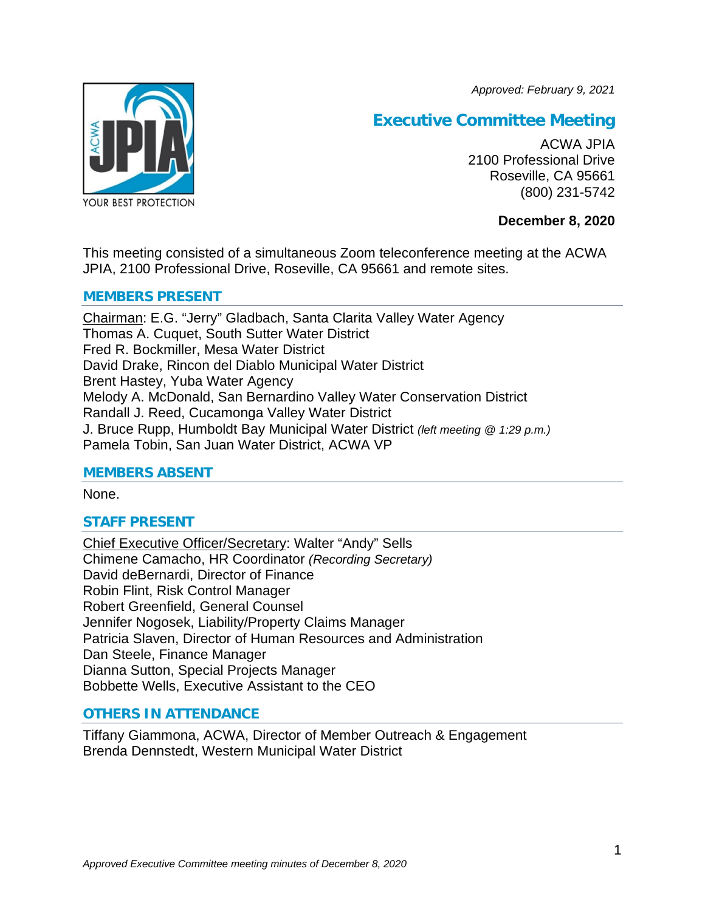*Approved: February 9, 2021*



# **Executive Committee Meeting**

ACWA JPIA 2100 Professional Drive Roseville, CA 95661 (800) 231-5742

# **December 8, 2020**

This meeting consisted of a simultaneous Zoom teleconference meeting at the ACWA JPIA, 2100 Professional Drive, Roseville, CA 95661 and remote sites.

# **MEMBERS PRESENT**

Chairman: E.G. "Jerry" Gladbach, Santa Clarita Valley Water Agency Thomas A. Cuquet, South Sutter Water District Fred R. Bockmiller, Mesa Water District David Drake, Rincon del Diablo Municipal Water District Brent Hastey, Yuba Water Agency Melody A. McDonald, San Bernardino Valley Water Conservation District Randall J. Reed, Cucamonga Valley Water District J. Bruce Rupp, Humboldt Bay Municipal Water District *(left meeting @ 1:29 p.m.)* Pamela Tobin, San Juan Water District, ACWA VP

# **MEMBERS ABSENT**

None.

# **STAFF PRESENT**

Chief Executive Officer/Secretary: Walter "Andy" Sells Chimene Camacho, HR Coordinator *(Recording Secretary)* David deBernardi, Director of Finance Robin Flint, Risk Control Manager Robert Greenfield, General Counsel Jennifer Nogosek, Liability/Property Claims Manager Patricia Slaven, Director of Human Resources and Administration Dan Steele, Finance Manager Dianna Sutton, Special Projects Manager Bobbette Wells, Executive Assistant to the CEO

# **OTHERS IN ATTENDANCE**

Tiffany Giammona, ACWA, Director of Member Outreach & Engagement Brenda Dennstedt, Western Municipal Water District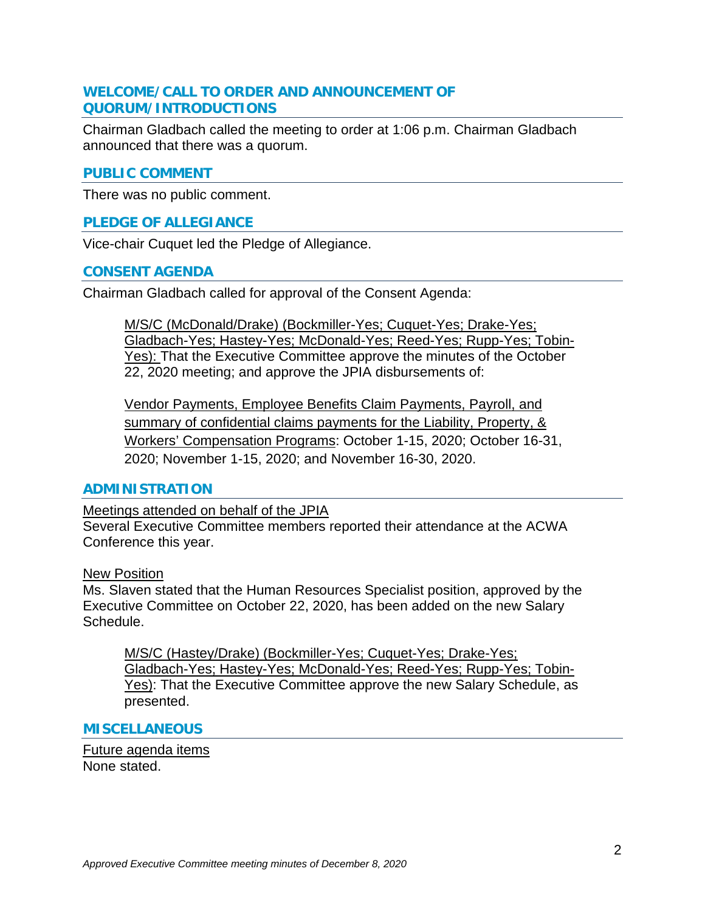# **WELCOME/CALL TO ORDER AND ANNOUNCEMENT OF QUORUM/INTRODUCTIONS**

Chairman Gladbach called the meeting to order at 1:06 p.m. Chairman Gladbach announced that there was a quorum.

## **PUBLIC COMMENT**

There was no public comment.

## **PLEDGE OF ALLEGIANCE**

Vice-chair Cuquet led the Pledge of Allegiance.

#### **CONSENT AGENDA**

Chairman Gladbach called for approval of the Consent Agenda:

M/S/C (McDonald/Drake) (Bockmiller-Yes; Cuquet-Yes; Drake-Yes; Gladbach-Yes; Hastey-Yes; McDonald-Yes; Reed-Yes; Rupp-Yes; Tobin-Yes): That the Executive Committee approve the minutes of the October 22, 2020 meeting; and approve the JPIA disbursements of:

Vendor Payments, Employee Benefits Claim Payments, Payroll, and summary of confidential claims payments for the Liability, Property, & Workers' Compensation Programs: October 1-15, 2020; October 16-31, 2020; November 1-15, 2020; and November 16-30, 2020.

#### **ADMINISTRATION**

Meetings attended on behalf of the JPIA

Several Executive Committee members reported their attendance at the ACWA Conference this year.

#### New Position

Ms. Slaven stated that the Human Resources Specialist position, approved by the Executive Committee on October 22, 2020, has been added on the new Salary Schedule.

M/S/C (Hastey/Drake) (Bockmiller-Yes; Cuquet-Yes; Drake-Yes; Gladbach-Yes; Hastey-Yes; McDonald-Yes; Reed-Yes; Rupp-Yes; Tobin-Yes): That the Executive Committee approve the new Salary Schedule, as presented.

#### **MISCELLANEOUS**

Future agenda items None stated.